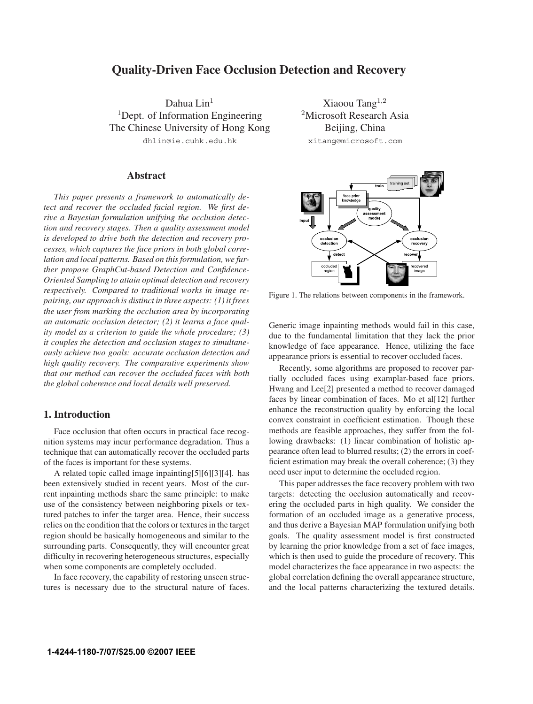# **Quality-Driven Face Occlusion Detection and Recovery**

Dahua Lin<sup>1</sup> <sup>1</sup>Dept. of Information Engineering The Chinese University of Hong Kong dhlin@ie.cuhk.edu.hk

## **Abstract**

*This paper presents a framework to automatically detect and recover the occluded facial region. We first derive a Bayesian formulation unifying the occlusion detection and recovery stages. Then a quality assessment model is developed to drive both the detection and recovery processes, which captures the face priors in both global correlation and local patterns. Based on this formulation, we further propose GraphCut-based Detection and Confidence-Oriented Sampling to attain optimal detection and recovery respectively. Compared to traditional works in image repairing, our approach is distinct in three aspects: (1) it frees the user from marking the occlusion area by incorporating an automatic occlusion detector; (2) it learns a face quality model as a criterion to guide the whole procedure; (3) it couples the detection and occlusion stages to simultaneously achieve two goals: accurate occlusion detection and high quality recovery. The comparative experiments show that our method can recover the occluded faces with both the global coherence and local details well preserved.*

# **1. Introduction**

Face occlusion that often occurs in practical face recognition systems may incur performance degradation. Thus a technique that can automatically recover the occluded parts of the faces is important for these systems.

A related topic called image inpainting[5][6][3][4]. has been extensively studied in recent years. Most of the current inpainting methods share the same principle: to make use of the consistency between neighboring pixels or textured patches to infer the target area. Hence, their success relies on the condition that the colors or textures in the target region should be basically homogeneous and similar to the surrounding parts. Consequently, they will encounter great difficulty in recovering heterogeneous structures, especially when some components are completely occluded.

In face recovery, the capability of restoring unseen structures is necessary due to the structural nature of faces.

Xiaoou Tang<sup>1</sup>*,*<sup>2</sup> <sup>2</sup>Microsoft Research Asia Beijing, China xitang@microsoft.com



Figure 1. The relations between components in the framework.

Generic image inpainting methods would fail in this case, due to the fundamental limitation that they lack the prior knowledge of face appearance. Hence, utilizing the face appearance priors is essential to recover occluded faces.

Recently, some algorithms are proposed to recover partially occluded faces using examplar-based face priors. Hwang and Lee[2] presented a method to recover damaged faces by linear combination of faces. Mo et al[12] further enhance the reconstruction quality by enforcing the local convex constraint in coefficient estimation. Though these methods are feasible approaches, they suffer from the following drawbacks: (1) linear combination of holistic appearance often lead to blurred results; (2) the errors in coefficient estimation may break the overall coherence; (3) they need user input to determine the occluded region.

This paper addresses the face recovery problem with two targets: detecting the occlusion automatically and recovering the occluded parts in high quality. We consider the formation of an occluded image as a generative process, and thus derive a Bayesian MAP formulation unifying both goals. The quality assessment model is first constructed by learning the prior knowledge from a set of face images, which is then used to guide the procedure of recovery. This model characterizes the face appearance in two aspects: the global correlation defining the overall appearance structure, and the local patterns characterizing the textured details.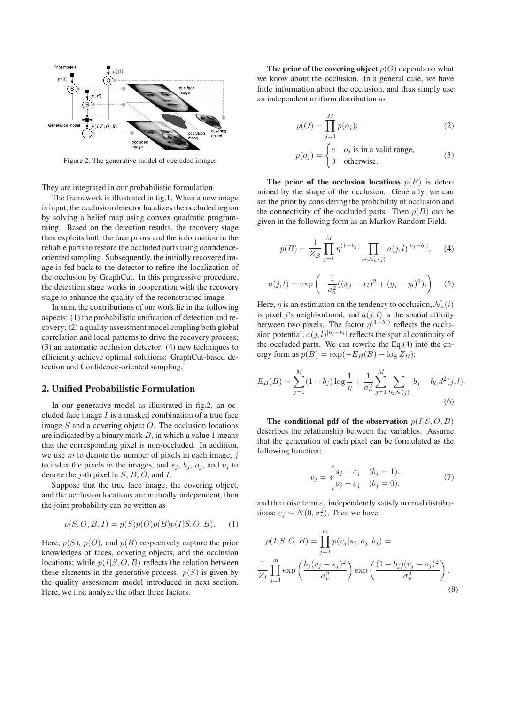

Figure 2. The generative model of occluded images

They are integrated in our probabilistic formulation.

The framework is illustrated in fig.1. When a new image is input, the occlusion detector localizes the occluded region by solving a belief map using convex quadratic programming. Based on the detection results, the recovery stage then exploits both the face priors and the information in the reliable parts to restore the occluded parts using confidenceoriented sampling. Subsequently, the initially recovered image is fed back to the detector to refine the localization of the occlusion by GraphCut. In this progressive procedure, the detection stage works in cooperation with the recovery stage to enhance the quality of the reconstructed image.

In sum, the contributions of our work lie in the following aspects: (1) the probabilistic unification of detection and recovery; (2) a quality assessment model coupling both global correlation and local patterns to drive the recovery process; (3) an automatic occlusion detector; (4) new techniques to efficiently achieve optimal solutions: GraphCut-based detection and Confidence-oriented sampling.

## **2. Unified Probabilistic Formulation**

In our generative model as illustrated in fig.2, an occluded face image  $I$  is a masked combination of a true face image  $S$  and a covering object  $O$ . The occlusion locations are indicated by a binary mask  $B$ , in which a value 1 means that the corresponding pixel is non-occluded. In addition, we use  $m$  to denote the number of pixels in each image,  $j$ to index the pixels in the images, and  $s_i$ ,  $b_i$ ,  $o_i$ , and  $v_i$  to denote the  $j$ -th pixel in  $S$ ,  $B$ ,  $O$ , and  $I$ .

Suppose that the true face image, the covering object, and the occlusion locations are mutually independent, then the joint probability can be written as

$$
p(S, O, B, I) = p(S)p(O)p(B)p(I|S, O, B). \tag{1}
$$

Here,  $p(S)$ ,  $p(O)$ , and  $p(B)$  respectively capture the prior knowledges of faces, covering objects, and the occlusion locations; while  $p(I|S, O, B)$  reflects the relation between these elements in the generative process.  $p(S)$  is given by the quality assessment model introduced in next section. Here, we first analyze the other three factors.

**The prior of the covering object**  $p(O)$  depends on what we know about the occlusion. In a general case, we have little information about the occlusion, and thus simply use an independent uniform distribution as

$$
p(O) = \prod_{j=1}^{M} p(o_j);
$$
 (2)

$$
p(o_j) = \begin{cases} c & o_j \text{ is in a valid range,} \\ 0 & \text{otherwise.} \end{cases}
$$
 (3)

**The prior of the occlusion locations**  $p(B)$  is determined by the shape of the occlusion. Generally, we can set the prior by considering the probability of occlusion and the connectivity of the occluded parts. Then  $p(B)$  can be given in the following form as an Markov Random Field.

$$
p(B) = \frac{1}{Z_B} \prod_{j=1}^{M} \eta^{(1-b_j)} \prod_{l \in \mathcal{N}_a(j)} a(j,l)^{|b_j - b_l|}, \quad (4)
$$

$$
a(j,l) = \exp\left(-\frac{1}{\sigma_a^2}((x_j - x_l)^2 + (y_j - y_l)^2)\right)
$$
 (5)

Here,  $\eta$  is an estimation on the tendency to occlusion,  $\mathcal{N}_a(i)$ is pixel j's neighborhood, and  $a(j, l)$  is the spatial affinity between two pixels. The factor  $\eta^{(1-b_i)}$  reflects the occlusion potential,  $a(j, l)^{|b_j - b_l|}$  reflects the spatial continuity of the occluded parts. We can rewrite the Eq.(4) into the energy form as  $p(B) = \exp(-E_B(B) - \log Z_B)$ :

$$
E_B(B) = \sum_{j=1}^{M} (1 - b_j) \log \frac{1}{\eta} + \frac{1}{\sigma_a^2} \sum_{j=1}^{M} \sum_{l \in \mathcal{N}(j)} |b_j - b_l| d^2(j, l).
$$
\n(6)

The conditional pdf of the observation  $p(I|S, O, B)$ describes the relationship between the variables. Assume that the generation of each pixel can be formulated as the following function:

$$
v_j = \begin{cases} s_j + \varepsilon_j & (b_j = 1), \\ o_j + \varepsilon_j & (b_j = 0), \end{cases}
$$
 (7)

and the noise term  $\varepsilon_j$  independently satisfy normal distributions:  $\varepsilon_j \sim N(0, \sigma_v^2)$ . Then we have

$$
p(I|S, O, B) = \prod_{j=1}^{m} p(v_j|s_j, o_j, b_j) =
$$
  

$$
\frac{1}{Z_I} \prod_{j=1}^{m} \exp\left(\frac{b_j(v_j - s_j)^2}{\sigma_v^2}\right) \exp\left(\frac{(1 - b_j)(v_j - o_j)^2}{\sigma_v^2}\right).
$$
(8)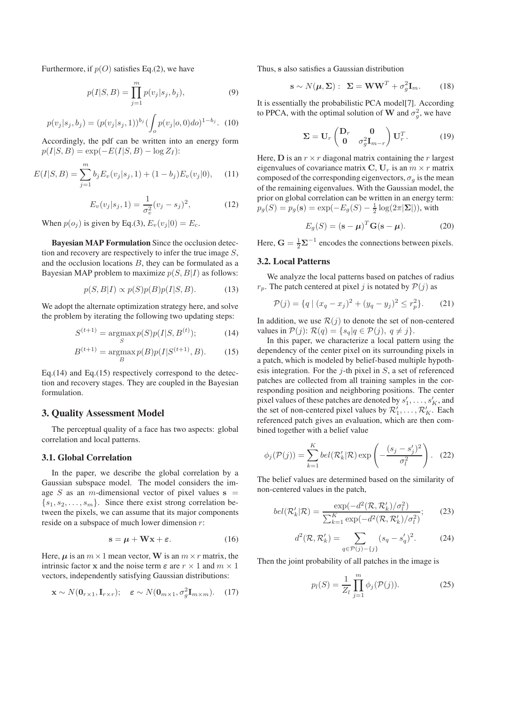Furthermore, if  $p(O)$  satisfies Eq.(2), we have

$$
p(I|S, B) = \prod_{j=1}^{m} p(v_j|s_j, b_j),
$$
\n(9)

$$
p(v_j|s_j, b_j) = (p(v_j|s_j, 1))^{b_j} \left(\int_o p(v_j|o, 0) \, do\right)^{1 - b_j}.
$$
 (10)

Accordingly, the pdf can be written into an energy form  $p(I|S, B) = \exp(-E(I|S, B) - \log Z_I)$ :

$$
E(I|S, B) = \sum_{j=1}^{m} b_j E_v(v_j|s_j, 1) + (1 - b_j) E_v(v_j|0), \quad (11)
$$

$$
E_v(v_j|s_j, 1) = \frac{1}{\sigma_v^2}(v_j - s_j)^2,
$$
\n(12)

When  $p(o_j)$  is given by Eq.(3),  $E_v(v_j|0) = E_c$ .

**Bayesian MAP Formulation** Since the occlusion detection and recovery are respectively to infer the true image S, and the occlusion locations  $B$ , they can be formulated as a Bayesian MAP problem to maximize  $p(S, B|I)$  as follows:

$$
p(S, B|I) \propto p(S)p(B)p(I|S, B). \tag{13}
$$

We adopt the alternate optimization strategy here, and solve the problem by iterating the following two updating steps:

$$
S^{(t+1)} = \underset{S}{\text{argmax}} p(S)p(I|S, B^{(t)}); \tag{14}
$$

$$
B^{(t+1)} = \underset{B}{\text{argmax}} p(B)p(I|S^{(t+1)},B). \tag{15}
$$

Eq.(14) and Eq.(15) respectively correspond to the detection and recovery stages. They are coupled in the Bayesian formulation.

### **3. Quality Assessment Model**

The perceptual quality of a face has two aspects: global correlation and local patterns.

# **3.1. Global Correlation**

In the paper, we describe the global correlation by a Gaussian subspace model. The model considers the image S as an m-dimensional vector of pixel values  $s =$  $\{s_1, s_2, \ldots, s_m\}$ . Since there exist strong correlation between the pixels, we can assume that its major components reside on a subspace of much lower dimension r:

$$
s = \mu + Wx + \varepsilon. \tag{16}
$$

Here,  $\mu$  is an  $m \times 1$  mean vector, **W** is an  $m \times r$  matrix, the intrinsic factor **x** and the noise term  $\varepsilon$  are  $r \times 1$  and  $m \times 1$ vectors, independently satisfying Gaussian distributions:

$$
\mathbf{x} \sim N(\mathbf{0}_{r \times 1}, \mathbf{I}_{r \times r}); \quad \varepsilon \sim N(\mathbf{0}_{m \times 1}, \sigma_g^2 \mathbf{I}_{m \times m}). \quad (17)
$$

Thus, **s** also satisfies a Gaussian distribution

$$
\mathbf{s} \sim N(\boldsymbol{\mu}, \boldsymbol{\Sigma}) : \ \boldsymbol{\Sigma} = \mathbf{W} \mathbf{W}^T + \sigma_g^2 \mathbf{I}_m. \tag{18}
$$

It is essentially the probabilistic PCA model[7]. According to PPCA, with the optimal solution of **W** and  $\sigma_g^2$ , we have

$$
\Sigma = \mathbf{U}_r \begin{pmatrix} \mathbf{D}_r & \mathbf{0} \\ \mathbf{0} & \sigma_g^2 \mathbf{I}_{m-r} \end{pmatrix} \mathbf{U}_r^T. \tag{19}
$$

Here, **D** is an  $r \times r$  diagonal matrix containing the r largest eigenvalues of covariance matrix  $C, U_r$  is an  $m \times r$  matrix composed of the corresponding eigenvectors,  $\sigma_g$  is the mean of the remaining eigenvalues. With the Gaussian model, the prior on global correlation can be written in an energy term:  $p_g(S) = p_g(\mathbf{s}) = \exp(-E_g(S) - \frac{1}{2}\log(2\pi|\mathbf{\Sigma}|)),$  with

$$
E_g(S) = (\mathbf{s} - \boldsymbol{\mu})^T \mathbf{G} (\mathbf{s} - \boldsymbol{\mu}).
$$
 (20)

Here,  $\mathbf{G} = \frac{1}{2} \mathbf{\Sigma}^{-1}$  encodes the connections between pixels.

### **3.2. Local Patterns**

We analyze the local patterns based on patches of radius  $r_p$ . The patch centered at pixel j is notated by  $P(j)$  as

$$
\mathcal{P}(j) = \{q \mid (x_q - x_j)^2 + (y_q - y_j)^2 \le r_p^2\}.
$$
 (21)

In addition, we use  $\mathcal{R}(j)$  to denote the set of non-centered values in  $P(j)$ :  $\mathcal{R}(q) = \{s_q | q \in \mathcal{P}(j), q \neq j\}.$ 

In this paper, we characterize a local pattern using the dependency of the center pixel on its surrounding pixels in a patch, which is modeled by belief-based multiple hypothesis integration. For the  $j$ -th pixel in  $S$ , a set of referenced patches are collected from all training samples in the corresponding position and neighboring positions. The center pixel values of these patches are denoted by  $s'_1, \ldots, s'_K$ , and<br>the set of non-centered pixel values by  $\mathcal{R}'$ .  $\mathcal{R}'$ . Each the set of non-centered pixel values by  $\mathcal{R}'_1, \dots, \mathcal{R}'_K$ . Each referenced patch gives an evaluation, which are then comreferenced patch gives an evaluation, which are then combined together with a belief value

$$
\phi_j(\mathcal{P}(j)) = \sum_{k=1}^K bel(\mathcal{R}'_k|\mathcal{R}) \exp\left(-\frac{(s_j - s'_j)^2}{\sigma_l^2}\right). \quad (22)
$$

The belief values are determined based on the similarity of non-centered values in the patch,

$$
bel(\mathcal{R}'_k|\mathcal{R}) = \frac{\exp(-d^2(\mathcal{R}, \mathcal{R}'_k)/\sigma_l^2)}{\sum_{k=1}^K \exp(-d^2(\mathcal{R}, \mathcal{R}'_k)/\sigma_l^2)};
$$
 (23)

$$
d^{2}(\mathcal{R}, \mathcal{R}'_{k}) = \sum_{q \in \mathcal{P}(j) - \{j\}} (s_{q} - s'_{q})^{2}.
$$
 (24)

Then the joint probability of all patches in the image is

$$
p_l(S) = \frac{1}{Z_l} \prod_{j=1}^{m} \phi_j(\mathcal{P}(j)).
$$
 (25)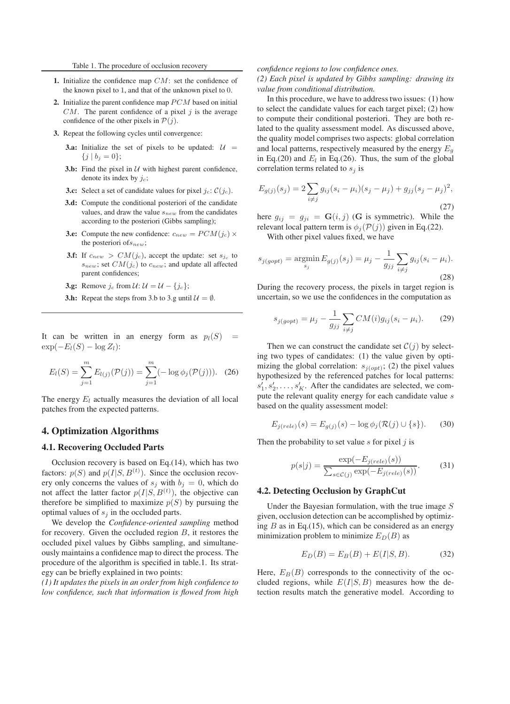- **1.** Initialize the confidence map *CM*: set the confidence of the known pixel to 1, and that of the unknown pixel to 0.
- **2.** Initialize the parent confidence map *PCM* based on initial *CM*. The parent confidence of a pixel *j* is the average confidence of the other pixels in  $P(j)$ .
- **3.** Repeat the following cycles until convergence:
	- **3.a:** Initialize the set of pixels to be updated:  $U =$  $\{j \mid b_j = 0\};$
	- **3.b:** Find the pixel in  $U$  with highest parent confidence, denote its index by *jc*;
	- **3.c:** Select a set of candidate values for pixel  $j_c$ :  $C(j_c)$ .
	- **3.d:** Compute the conditional posteriori of the candidate values, and draw the value *snew* from the candidates according to the posteriori (Gibbs sampling);
	- **3.e:** Compute the new confidence:  $c_{new} = PCM(j_c) \times$ the posteriori of*snew*;
	- **3.f:** If  $c_{new} > CM(j_c)$ , accept the update: set  $s_{j_c}$  to *snew*; set *CM*(*jc*) to *cnew*; and update all affected parent confidences;
	- **3.g:** Remove  $j_c$  from  $\mathcal{U}: \mathcal{U} = \mathcal{U} \{j_c\};$
	- **3.h:** Repeat the steps from 3.b to 3.g until  $\mathcal{U} = \emptyset$ .

It can be written in an energy form as  $p_l(S)$  =  $\exp(-E_l(S) - \log Z_l)$ :

$$
E_l(S) = \sum_{j=1}^{m} E_{l(j)}(\mathcal{P}(j)) = \sum_{j=1}^{m} (-\log \phi_j(\mathcal{P}(j))). \quad (26)
$$

The energy  $E_l$  actually measures the deviation of all local patches from the expected patterns.

## **4. Optimization Algorithms**

#### **4.1. Recovering Occluded Parts**

Occlusion recovery is based on Eq.(14), which has two factors:  $p(S)$  and  $p(I|S, B^{(t)})$ . Since the occlusion recovery only concerns the values of  $s_j$  with  $b_j = 0$ , which do not affect the latter factor  $p(I|S, B^{(t)})$ , the objective can therefore be simplified to maximize  $p(S)$  by pursuing the optimal values of  $s_i$  in the occluded parts.

We develop the *Confidence-oriented sampling* method for recovery. Given the occluded region B, it restores the occluded pixel values by Gibbs sampling, and simultaneously maintains a confidence map to direct the process. The procedure of the algorithm is specified in table.1. Its strategy can be briefly explained in two points:

*(1) It updates the pixels in an order from high confidence to low confidence, such that information is flowed from high*

#### *confidence regions to low confidence ones.*

*(2) Each pixel is updated by Gibbs sampling: drawing its value from conditional distribution.*

In this procedure, we have to address two issues: (1) how to select the candidate values for each target pixel; (2) how to compute their conditional posteriori. They are both related to the quality assessment model. As discussed above, the quality model comprises two aspects: global correlation and local patterns, respectively measured by the energy  $E_q$ in Eq.(20) and  $E_l$  in Eq.(26). Thus, the sum of the global correlation terms related to  $s_i$  is

$$
E_{g(j)}(s_j) = 2 \sum_{i \neq j} g_{ij} (s_i - \mu_i)(s_j - \mu_j) + g_{jj} (s_j - \mu_j)^2,
$$
\n(27)

here  $g_{ij} = g_{ji} = G(i, j)$  (G is symmetric). While the relevant local pattern term is  $\phi_i(\mathcal{P}(j))$  given in Eq.(22).

With other pixel values fixed, we have

$$
s_{j(gopt)} = \underset{s_j}{\text{argmin}} E_{g(j)}(s_j) = \mu_j - \frac{1}{g_{jj}} \sum_{i \neq j} g_{ij}(s_i - \mu_i).
$$
\n(28)

During the recovery process, the pixels in target region is uncertain, so we use the confidences in the computation as

$$
s_{j(gopt)} = \mu_j - \frac{1}{g_{jj}} \sum_{i \neq j} CM(i) g_{ij}(s_i - \mu_i).
$$
 (29)

Then we can construct the candidate set  $C(j)$  by selecting two types of candidates: (1) the value given by optimizing the global correlation:  $s_{j(opt)}$ ; (2) the pixel values hypothesized by the referenced patches for local patterns:  $s'_1, s'_2, \ldots, s'_K$ . After the candidates are selected, we com-<br>pute the relevant quality energy for each candidate value s pute the relevant quality energy for each candidate value s based on the quality assessment model:

$$
E_{j(rele)}(s) = E_{g(j)}(s) - \log \phi_j(\mathcal{R}(j) \cup \{s\}).
$$
 (30)

Then the probability to set value  $s$  for pixel  $j$  is

$$
p(s|j) = \frac{\exp(-E_{j(rele)}(s))}{\sum_{s \in \mathcal{C}(j)} \exp(-E_{j(rele)}(s))}.
$$
 (31)

#### **4.2. Detecting Occlusion by GraphCut**

Under the Bayesian formulation, with the true image  $S$ given, occlusion detection can be accomplished by optimizing  $B$  as in Eq.(15), which can be considered as an energy minimization problem to minimize  $E_D(B)$  as

$$
E_D(B) = E_B(B) + E(I|S, B).
$$
 (32)

Here,  $E_B(B)$  corresponds to the connectivity of the occluded regions, while  $E(I|S, B)$  measures how the detection results match the generative model. According to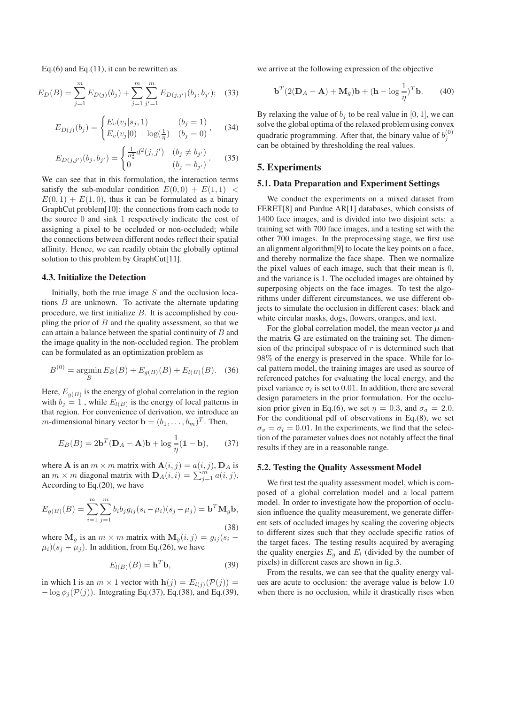Eq. $(6)$  and Eq. $(11)$ , it can be rewritten as

$$
E_D(B) = \sum_{j=1}^{m} E_{D(j)}(b_j) + \sum_{j=1}^{m} \sum_{j'=1}^{m} E_{D(j,j')}(b_j, b_{j'}); \quad (33)
$$

$$
E_{D(j)}(b_j) = \begin{cases} E_v(v_j|s_j, 1) & (b_j = 1) \\ E_v(v_j|0) + \log(\frac{1}{\eta}) & (b_j = 0) \end{cases}, \quad (34)
$$

$$
E_{D(j,j')}(b_j, b_{j'}) = \begin{cases} \frac{1}{\sigma_a^2} d^2(j, j') & (b_j \neq b_{j'})\\ 0 & (b_j = b_{j'}) \end{cases}.
$$
 (35)

We can see that in this formulation, the interaction terms satisfy the sub-modular condition  $E(0,0) + E(1,1)$  <  $E(0, 1) + E(1, 0)$ , thus it can be formulated as a binary GraphCut problem[10]: the connections from each node to the source 0 and sink 1 respectively indicate the cost of assigning a pixel to be occluded or non-occluded; while the connections between different nodes reflect their spatial affinity. Hence, we can readily obtain the globally optimal solution to this problem by GraphCut[11].

### **4.3. Initialize the Detection**

Initially, both the true image  $S$  and the occlusion locations  $B$  are unknown. To activate the alternate updating procedure, we first initialize  $B$ . It is accomplished by coupling the prior of  $B$  and the quality assessment, so that we can attain a balance between the spatial continuity of  $B$  and the image quality in the non-occluded region. The problem can be formulated as an optimization problem as

$$
B^{(0)} = \underset{B}{\text{argmin}} E_B(B) + E_{g(B)}(B) + E_{l(B)}(B). \quad (36)
$$

Here,  $E_{q(B)}$  is the energy of global correlation in the region with  $b_j = 1$ , while  $E_{l(B)}$  is the energy of local patterns in that region. For convenience of derivation, we introduce an *m*-dimensional binary vector  $\mathbf{b} = (b_1, \ldots, b_m)^T$ . Then,

$$
E_B(B) = 2\mathbf{b}^T(\mathbf{D}_A - \mathbf{A})\mathbf{b} + \log \frac{1}{\eta}(\mathbf{1} - \mathbf{b}),\qquad(37)
$$

where **A** is an  $m \times m$  matrix with  $\mathbf{A}(i, j) = a(i, j)$ ,  $\mathbf{D}_A$  is an  $m \times m$  diagonal matrix with  $\mathbf{D}_A(i, i) = \sum_{j=1}^m a(i, j)$ .<br>According to Eq. (20), we have According to Eq.(20), we have

$$
E_{g(B)}(B) = \sum_{i=1}^{m} \sum_{j=1}^{m} b_i b_j g_{ij} (s_i - \mu_i)(s_j - \mu_j) = \mathbf{b}^T \mathbf{M}_g \mathbf{b},
$$
\n(38)

where  $\mathbf{M}_g$  is an  $m \times m$  matrix with  $\mathbf{M}_g(i, j) = g_{ij}(s_i - j)$  $\mu_i$ )( $s_i - \mu_i$ ). In addition, from Eq.(26), we have

$$
E_{l(B)}(B) = \mathbf{h}^T \mathbf{b},\tag{39}
$$

in which **l** is an  $m \times 1$  vector with  $h(j) = E_{l(j)}(\mathcal{P}(j))$  =  $-\log \phi_i(\mathcal{P}(j))$ . Integrating Eq.(37), Eq.(38), and Eq.(39), we arrive at the following expression of the objective

$$
\mathbf{b}^{T}(2(\mathbf{D}_{A}-\mathbf{A})+\mathbf{M}_{g})\mathbf{b}+(\mathbf{h}-\log\frac{1}{\eta})^{T}\mathbf{b}.
$$
 (40)

By relaxing the value of  $b_i$  to be real value in [0, 1], we can solve the global optima of the relaxed problem using convex quadratic programming. After that, the binary value of  $b_i^{(0)}$  $\overline{a}$ can be obtained by thresholding the real values.

# **5. Experiments**

### **5.1. Data Preparation and Experiment Settings**

We conduct the experiments on a mixed dataset from FERET[8] and Purdue AR[1] databases, which consists of 1400 face images, and is divided into two disjoint sets: a training set with 700 face images, and a testing set with the other 700 images. In the preprocessing stage, we first use an alignment algorithm[9] to locate the key points on a face, and thereby normalize the face shape. Then we normalize the pixel values of each image, such that their mean is 0, and the variance is 1. The occluded images are obtained by superposing objects on the face images. To test the algorithms under different circumstances, we use different objects to simulate the occlusion in different cases: black and white circular masks, dogs, flowers, oranges, and text.

For the global correlation model, the mean vector  $\mu$  and the matrix **G** are estimated on the training set. The dimension of the principal subspace of  $r$  is determined such that 98% of the energy is preserved in the space. While for local pattern model, the training images are used as source of referenced patches for evaluating the local energy, and the pixel variance  $\sigma_l$  is set to 0.01. In addition, there are several design parameters in the prior formulation. For the occlusion prior given in Eq.(6), we set  $\eta = 0.3$ , and  $\sigma_a = 2.0$ . For the conditional pdf of observations in Eq.(8), we set  $\sigma_v = \sigma_l = 0.01$ . In the experiments, we find that the selection of the parameter values does not notably affect the final results if they are in a reasonable range.

#### **5.2. Testing the Quality Assessment Model**

We first test the quality assessment model, which is composed of a global correlation model and a local pattern model. In order to investigate how the proportion of occlusion influence the quality measurement, we generate different sets of occluded images by scaling the covering objects to different sizes such that they occlude specific ratios of the target faces. The testing results acquired by averaging the quality energies  $E_q$  and  $E_l$  (divided by the number of pixels) in different cases are shown in fig.3.

From the results, we can see that the quality energy values are acute to occlusion: the average value is below 1.0 when there is no occlusion, while it drastically rises when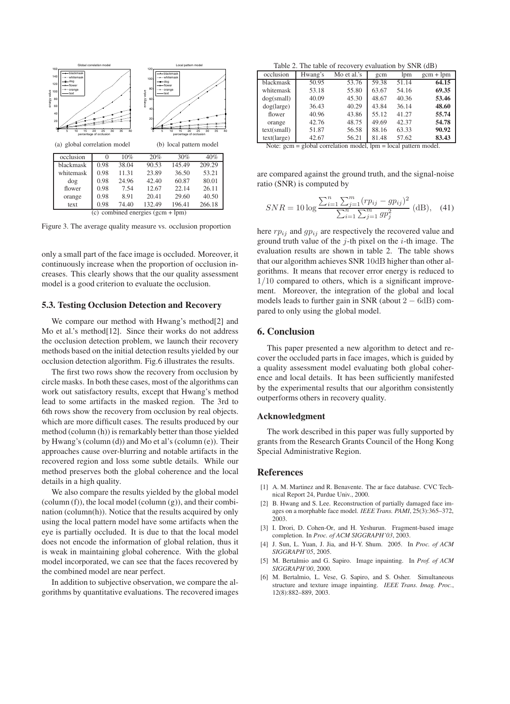

Figure 3. The average quality measure vs. occlusion proportion

only a small part of the face image is occluded. Moreover, it continuously increase when the proportion of occlusion increases. This clearly shows that the our quality assessment model is a good criterion to evaluate the occlusion.

#### **5.3. Testing Occlusion Detection and Recovery**

We compare our method with Hwang's method[2] and Mo et al.'s method [12]. Since their works do not address the occlusion detection problem, we launch their recovery methods based on the initial detection results yielded by our occlusion detection algorithm. Fig.6 illustrates the results.

The first two rows show the recovery from occlusion by circle masks. In both these cases, most of the algorithms can work out satisfactory results, except that Hwang's method lead to some artifacts in the masked region. The 3rd to 6th rows show the recovery from occlusion by real objects. which are more difficult cases. The results produced by our method (column (h)) is remarkably better than those yielded by Hwang's (column (d)) and Mo et al's (column (e)). Their approaches cause over-blurring and notable artifacts in the recovered region and loss some subtle details. While our method preserves both the global coherence and the local details in a high quality.

We also compare the results yielded by the global model (column (f)), the local model (column (g)), and their combination (column(h)). Notice that the results acquired by only using the local pattern model have some artifacts when the eye is partially occluded. It is due to that the local model does not encode the information of global relation, thus it is weak in maintaining global coherence. With the global model incorporated, we can see that the faces recovered by the combined model are near perfect.

In addition to subjective observation, we compare the algorithms by quantitative evaluations. The recovered images

Table 2. The table of recovery evaluation by SNR (dB)

| occlusion   | Hwang's | Mo et al.'s | gcm   | lpm   | $gcm + lpm$ |
|-------------|---------|-------------|-------|-------|-------------|
| blackmask   | 50.95   | 53.76       | 59.38 | 51.14 | 64.15       |
| whitemask   | 53.18   | 55.80       | 63.67 | 54.16 | 69.35       |
| dog(small)  | 40.09   | 45.30       | 48.67 | 40.36 | 53.46       |
| dog(large)  | 36.43   | 40.29       | 43.84 | 36.14 | 48.60       |
| flower      | 40.96   | 43.86       | 55.12 | 41.27 | 55.74       |
| orange      | 42.76   | 48.75       | 49.69 | 42.37 | 54.78       |
| text(small) | 51.87   | 56.58       | 88.16 | 63.33 | 90.92       |
| text(large) | 42.67   | 56.21       | 81.48 | 57.62 | 83.43       |
|             |         |             |       |       |             |

Note: gcm = global correlation model, lpm = local pattern model.

are compared against the ground truth, and the signal-noise ratio (SNR) is computed by

$$
SNR = 10 \log \frac{\sum_{i=1}^{n} \sum_{j=1}^{m} (rp_{ij} - gp_{ij})^2}{\sum_{i=1}^{n} \sum_{j=1}^{m} gp_{j}^2} \text{ (dB)}, \quad (41)
$$

here  $rp_{ij}$  and  $gp_{ij}$  are respectively the recovered value and ground truth value of the  $j$ -th pixel on the  $i$ -th image. The evaluation results are shown in table 2. The table shows that our algorithm achieves SNR 10dB higher than other algorithms. It means that recover error energy is reduced to  $1/10$  compared to others, which is a significant improvement. Moreover, the integration of the global and local models leads to further gain in SNR (about  $2 - 6dB$ ) compared to only using the global model.

# **6. Conclusion**

This paper presented a new algorithm to detect and recover the occluded parts in face images, which is guided by a quality assessment model evaluating both global coherence and local details. It has been sufficiently manifested by the experimental results that our algorithm consistently outperforms others in recovery quality.

### **Acknowledgment**

The work described in this paper was fully supported by grants from the Research Grants Council of the Hong Kong Special Administrative Region.

### **References**

- [1] A. M. Martinez and R. Benavente. The ar face database. CVC Technical Report 24, Purdue Univ., 2000.
- [2] B. Hwang and S. Lee. Reconstruction of partially damaged face images on a morphable face model. *IEEE Trans. PAMI*, 25(3):365–372, 2003.
- [3] I. Drori, D. Cohen-Or, and H. Yeshurun. Fragment-based image completion. In *Proc. of ACM SIGGRAPH'03*, 2003.
- [4] J. Sun, L. Yuan, J. Jia, and H-Y. Shum. 2005. In *Proc. of ACM SIGGRAPH'05*, 2005.
- [5] M. Bertalmio and G. Sapiro. Image inpainting. In *Prof. of ACM SIGGRAPH'00*, 2000.
- [6] M. Bertalmio, L. Vese, G. Sapiro, and S. Osher. Simultaneous structure and texture image inpainting. *IEEE Trans. Imag. Proc.*, 12(8):882–889, 2003.